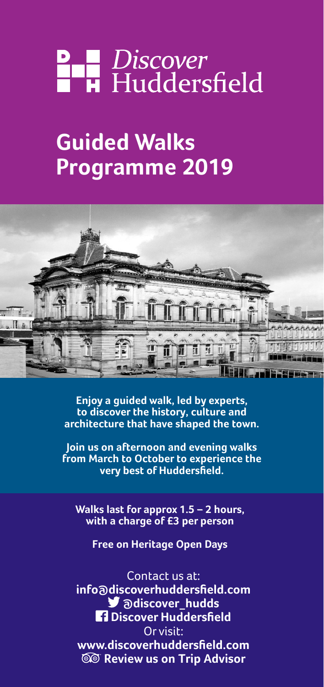# **P B** Discover<br>**B H** Huddersfield

# **Guided Walks Programme 2019**



**Enjoy a guided walk, led by experts, to discover the history, culture and architecture that have shaped the town.**

**Join us on afternoon and evening walks from March to October to experience the very best of Huddersfield.**

**Walks last for approx 1.5 – 2 hours, with a charge of £3 per person**

**Free on Heritage Open Days**

## Contact us at:

**info@discoverhuddersfield.com** *M* adiscover hudds  **Discover Huddersfield** Or visit: **www.discoverhuddersfield.com Review us on Trip Advisor**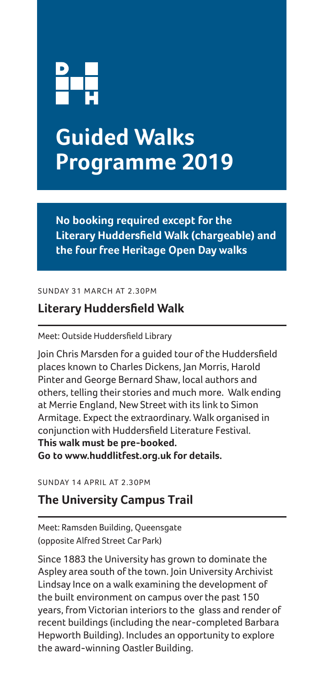

# **Guided Walks Programme 2019**

**No booking required except for the Literary Huddersfield Walk (chargeable) and the four free Heritage Open Day walks**

SUNDAY 31 MARCH AT 2.30PM

### **Literary Huddersfield Walk**

#### Meet: Outside Huddersfield Library

Join Chris Marsden for a guided tour of the Huddersfield places known to Charles Dickens, Jan Morris, Harold Pinter and George Bernard Shaw, local authors and others, telling their stories and much more. Walk ending at Merrie England, New Street with its link to Simon Armitage. Expect the extraordinary. Walk organised in conjunction with Huddersfield Literature Festival. **This walk must be pre-booked.** 

**Go to www.huddlitfest.org.uk for details.**

SUNDAY 14 APRIL AT 2.30PM

#### **The University Campus Trail**

Meet: Ramsden Building, Queensgate (opposite Alfred Street Car Park)

Since 1883 the University has grown to dominate the Aspley area south of the town. Join University Archivist Lindsay Ince on a walk examining the development of the built environment on campus over the past 150 years, from Victorian interiors to the glass and render of recent buildings (including the near-completed Barbara Hepworth Building). Includes an opportunity to explore the award-winning Oastler Building.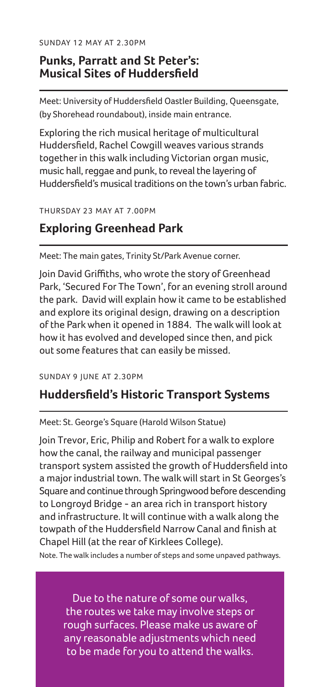SUNDAY 12 MAY AT 2.30PM

#### **Punks, Parratt and St Peter's: Musical Sites of Huddersfield**

Meet: University of Huddersfield Oastler Building, Queensgate, (by Shorehead roundabout), inside main entrance.

Exploring the rich musical heritage of multicultural Huddersfield, Rachel Cowgill weaves various strands together in this walk including Victorian organ music, music hall, reggae and punk, to reveal the layering of Huddersfield's musical traditions on the town's urban fabric.

THURSDAY 23 MAY AT 7.00PM

#### **Exploring Greenhead Park**

Meet: The main gates, Trinity St/Park Avenue corner.

Join David Griffiths, who wrote the story of Greenhead Park, 'Secured For The Town', for an evening stroll around the park. David will explain how it came to be established and explore its original design, drawing on a description of the Park when it opened in 1884. The walk will look at how it has evolved and developed since then, and pick out some features that can easily be missed.

SUNDAY 9 JUNE AT 2.30PM

#### **Huddersfield's Historic Transport Systems**

Meet: St. George's Square (Harold Wilson Statue)

Join Trevor, Eric, Philip and Robert for a walk to explore how the canal, the railway and municipal passenger transport system assisted the growth of Huddersfield into a major industrial town. The walk will start in St Georges's Square and continue through Springwood before descending to Longroyd Bridge - an area rich in transport history and infrastructure. It will continue with a walk along the towpath of the Huddersfield Narrow Canal and finish at Chapel Hill (at the rear of Kirklees College).

Note. The walk includes a number of steps and some unpaved pathways.

Due to the nature of some our walks, the routes we take may involve steps or rough surfaces. Please make us aware of any reasonable adjustments which need to be made for you to attend the walks.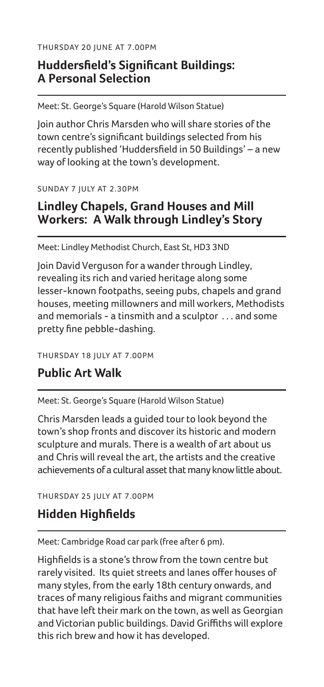THURSDAY 20 JUNE AT 7.00PM

### **Huddersfield's Significant Buildings: A Personal Selection**

Meet: St. George's Square (Harold Wilson Statue)

Join author Chris Marsden who will share stories of the town centre's significant buildings selected from his recently published 'Huddersfield in 50 Buildings' – a new way of looking at the town's development.

SUNDAY 7 JULY AT 2.30PM

### **Lindley Chapels, Grand Houses and Mill Workers: A Walk through Lindley's Story**

Meet: Lindley Methodist Church, East St, HD3 3ND

Join David Verguson for a wander through Lindley, revealing its rich and varied heritage along some lesser-known footpaths, seeing pubs, chapels and grand houses, meeting millowners and mill workers, Methodists and memorials - a tinsmith and a sculptor . . . and some pretty fine pebble-dashing.

THURSDAY 18 JULY AT 7.00PM

## **Public Art Walk**

Meet: St. George's Square (Harold Wilson Statue)

Chris Marsden leads a guided tour to look beyond the town's shop fronts and discover its historic and modern sculpture and murals. There is a wealth of art about us and Chris will reveal the art, the artists and the creative achievements of a cultural asset that many know little about.

THURSDAY 25 JULY AT 7.00PM

#### **Hidden Highfields**

Meet: Cambridge Road car park (free after 6 pm).

Highfields is a stone's throw from the town centre but rarely visited. Its quiet streets and lanes offer houses of many styles, from the early 18th century onwards, and traces of many religious faiths and migrant communities that have left their mark on the town, as well as Georgian and Victorian public buildings. David Griffiths will explore this rich brew and how it has developed.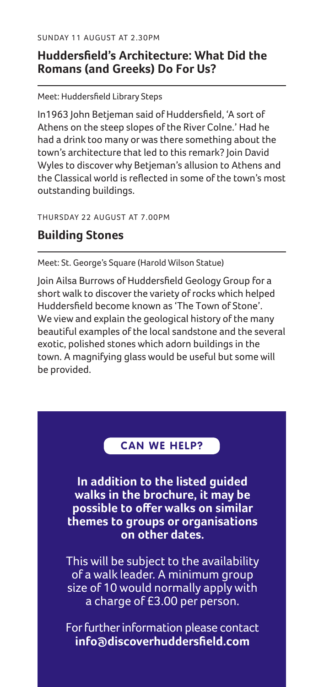SUNDAY 11 AUGUST AT 2.30PM

#### **Huddersfield's Architecture: What Did the Romans (and Greeks) Do For Us?**

Meet: Huddersfield Library Steps

In1963 John Betjeman said of Huddersfield, 'A sort of Athens on the steep slopes of the River Colne.' Had he had a drink too many or was there something about the town's architecture that led to this remark? Join David Wyles to discover why Betjeman's allusion to Athens and the Classical world is reflected in some of the town's most outstanding buildings.

THURSDAY 22 AUGUST AT 7.00PM

### **Building Stones**

Meet: St. George's Square (Harold Wilson Statue)

Join Ailsa Burrows of Huddersfield Geology Group for a short walk to discover the variety of rocks which helped Huddersfield become known as 'The Town of Stone'. We view and explain the geological history of the many beautiful examples of the local sandstone and the several exotic, polished stones which adorn buildings in the town. A magnifying glass would be useful but some will be provided.

#### **CAN WE HELP?**

**In addition to the listed guided walks in the brochure, it may be possible to offer walks on similar themes to groups or organisations on other dates.**

This will be subject to the availability of a walk leader. A minimum group size of 10 would normally apply with a charge of £3.00 per person.

For further information please contact **info@discoverhuddersfield.com**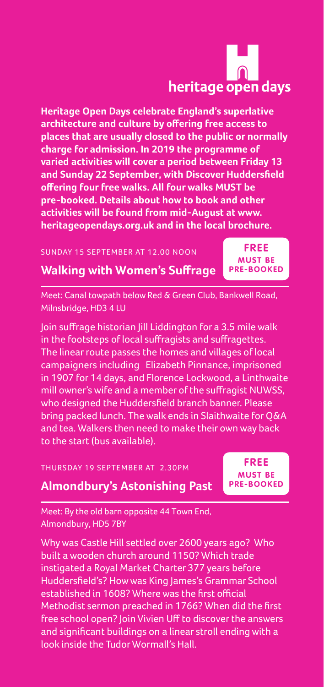# heritage open days

**Heritage Open Days celebrate England's superlative architecture and culture by offering free access to places that are usually closed to the public or normally charge for admission. In 2019 the programme of varied activities will cover a period between Friday 13 and Sunday 22 September, with Discover Huddersfield offering four free walks. All four walks MUST be pre-booked. Details about how to book and other activities will be found from mid-August at www. heritageopendays.org.uk and in the local brochure.**

#### SUNDAY 15 SEPTEMBER AT 12.00 NOON

**FREE MUST BE PRE-BOOKED**

**Walking with Women's Suffrage**

Meet: Canal towpath below Red & Green Club, Bankwell Road, Milnsbridge, HD3 4 LU

Join suffrage historian Jill Liddington for a 3.5 mile walk in the footsteps of local suffragists and suffragettes. The linear route passes the homes and villages of local campaigners including Elizabeth Pinnance, imprisoned in 1907 for 14 days, and Florence Lockwood, a Linthwaite mill owner's wife and a member of the suffragist NUWSS, who designed the Huddersfield branch banner. Please bring packed lunch. The walk ends in Slaithwaite for Q&A and tea. Walkers then need to make their own way back to the start (bus available).

THURSDAY 19 SEPTEMBER AT 2.30PM

**FREE MUST BE PRE-BOOKED**

**Almondbury's Astonishing Past**

Meet: By the old barn opposite 44 Town End, Almondbury, HD5 7BY

Why was Castle Hill settled over 2600 years ago? Who built a wooden church around 1150? Which trade instigated a Royal Market Charter 377 years before Huddersfield's? How was King James's Grammar School established in 1608? Where was the first official Methodist sermon preached in 1766? When did the first free school open? Join Vivien Uff to discover the answers and significant buildings on a linear stroll ending with a look inside the Tudor Wormall's Hall.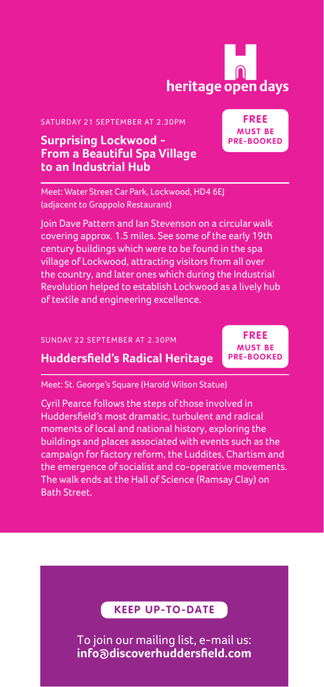# heritage open days

**FREE MUST BE PRE-BOOKED**

SATURDAY 21 SEPTEMBER AT 2.30PM

#### **Surprising Lockwood - From a Beautiful Spa Village to an Industrial Hub**

Meet: Water Street Car Park, Lockwood, HD4 6EJ (adjacent to Grappolo Restaurant)

Join Dave Pattern and Ian Stevenson on a circular walk covering approx. 1.5 miles. See some of the early 19th century buildings which were to be found in the spa village of Lockwood, attracting visitors from all over the country, and later ones which during the Industrial Revolution helped to establish Lockwood as a lively hub of textile and engineering excellence.

#### SUNDAY 22 SEPTEMBER AT 2.30PM

#### **Huddersfield's Radical Heritage**

**FREE MUST BE PRE-BOOKED**

Meet: St. George's Square (Harold Wilson Statue)

Cyril Pearce follows the steps of those involved in Huddersfield's most dramatic, turbulent and radical moments of local and national history, exploring the buildings and places associated with events such as the campaign for factory reform, the Luddites, Chartism and the emergence of socialist and co-operative movements. The walk ends at the Hall of Science (Ramsay Clay) on Bath Street.

#### **KEEP UP-TO-DATE**

To join our mailing list, e-mail us: **info@discoverhuddersfield.com**